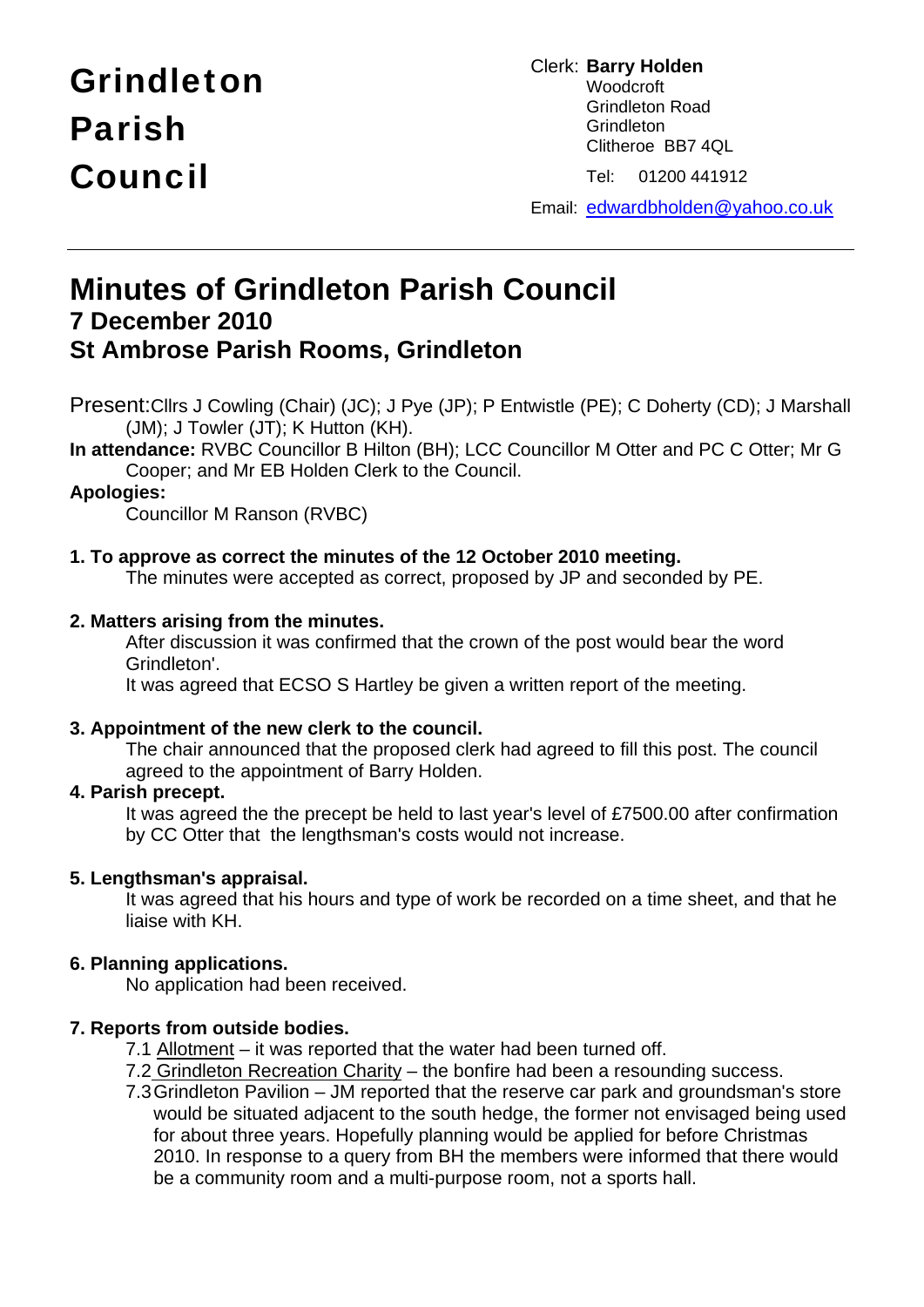# Grindleton Parish Council

Clerk: **Barry Holden**  Woodcroft Grindleton Road **Grindleton**  Clitheroe BB7 4QL Tel: 01200 441912

Email: edwardbholden@yahoo.co.uk

# **Minutes of Grindleton Parish Council 7 December 2010 St Ambrose Parish Rooms, Grindleton**

Present:Cllrs J Cowling (Chair) (JC); J Pye (JP); P Entwistle (PE); C Doherty (CD); J Marshall (JM); J Towler (JT); K Hutton (KH).

**In attendance:** RVBC Councillor B Hilton (BH); LCC Councillor M Otter and PC C Otter; Mr G Cooper; and Mr EB Holden Clerk to the Council.

# **Apologies:**

Councillor M Ranson (RVBC)

## **1. To approve as correct the minutes of the 12 October 2010 meeting.**

The minutes were accepted as correct, proposed by JP and seconded by PE.

#### **2. Matters arising from the minutes.**

 After discussion it was confirmed that the crown of the post would bear the word Grindleton'.

It was agreed that ECSO S Hartley be given a written report of the meeting.

#### **3. Appointment of the new clerk to the council.**

The chair announced that the proposed clerk had agreed to fill this post. The council agreed to the appointment of Barry Holden.

#### **4. Parish precept.**

 It was agreed the the precept be held to last year's level of £7500.00 after confirmation by CC Otter that the lengthsman's costs would not increase.

#### **5. Lengthsman's appraisal.**

It was agreed that his hours and type of work be recorded on a time sheet, and that he liaise with KH.

#### **6. Planning applications.**

No application had been received.

#### **7. Reports from outside bodies.**

- 7.1 Allotment it was reported that the water had been turned off.
- 7.2 Grindleton Recreation Charity the bonfire had been a resounding success.
- 7.3 Grindleton Pavilion JM reported that the reserve car park and groundsman's store would be situated adjacent to the south hedge, the former not envisaged being used for about three years. Hopefully planning would be applied for before Christmas 2010. In response to a query from BH the members were informed that there would be a community room and a multi-purpose room, not a sports hall.